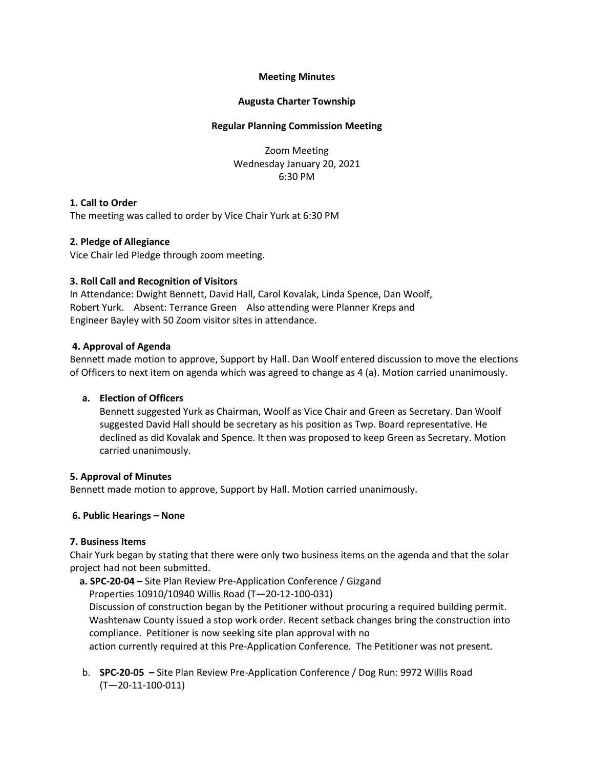# **Meeting Minutes**

# **Augusta Charter Township**

### **Regular Planning Commission Meeting**

Zoom Meeting Wednesday January 20, 2021 6:30 PM

# **1. Call to Order**

The meeting was called to order by Vice Chair Yurk at 6:30 PM

#### **2. Pledge of Allegiance**

Vice Chair led Pledge through zoom meeting.

#### **3. Roll Call and Recognition of Visitors**

In Attendance: Dwight Bennett, David Hall, Carol Kovalak, Linda Spence, Dan Woolf, Robert Yurk. Absent: Terrance Green Also attending were Planner Kreps and Engineer Bayley with 50 Zoom visitor sites in attendance.

#### **4. Approval of Agenda**

Bennett made motion to approve, Support by Hall. Dan Woolf entered discussion to move the elections of Officers to next item on agenda which was agreed to change as 4 (a). Motion carried unanimously.

# **a. Election of Officers**

Bennett suggested Yurk as Chairman, Woolf as Vice Chair and Green as Secretary. Dan Woolf suggested David Hall should be secretary as his position as Twp. Board representative. He declined as did Kovalak and Spence. It then was proposed to keep Green as Secretary. Motion carried unanimously.

#### **5. Approval of Minutes**

Bennett made motion to approve, Support by Hall. Motion carried unanimously.

# **6. Public Hearings – None**

# **7. Business Items**

Chair Yurk began by stating that there were only two business items on the agenda and that the solar project had not been submitted.

 **a. SPC-20-04 –** Site Plan Review Pre-Application Conference / Gizgand Properties 10910/10940 Willis Road (T—20-12-100-031) Discussion of construction began by the Petitioner without procuring a required building permit. Washtenaw County issued a stop work order. Recent setback changes bring the construction into compliance. Petitioner is now seeking site plan approval with no action currently required at this Pre-Application Conference. The Petitioner was not present.

b. **SPC-20-05 –** Site Plan Review Pre-Application Conference / Dog Run: 9972 Willis Road (T—20-11-100-011)